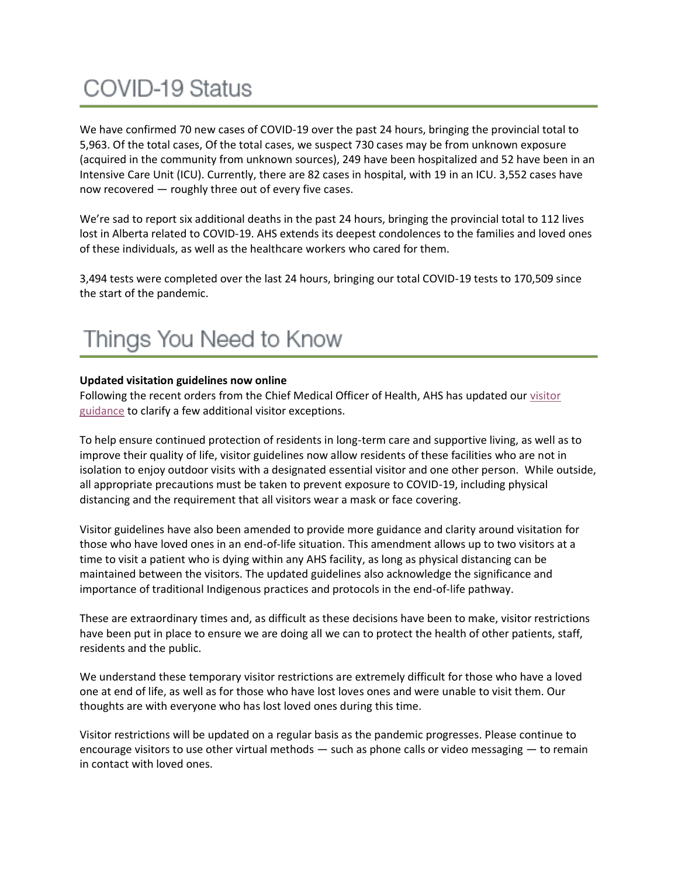# **COVID-19 Status**

We have confirmed 70 new cases of COVID-19 over the past 24 hours, bringing the provincial total to 5,963. Of the total cases, Of the total cases, we suspect 730 cases may be from unknown exposure (acquired in the community from unknown sources), 249 have been hospitalized and 52 have been in an Intensive Care Unit (ICU). Currently, there are 82 cases in hospital, with 19 in an ICU. 3,552 cases have now recovered — roughly three out of every five cases.

We're sad to report six additional deaths in the past 24 hours, bringing the provincial total to 112 lives lost in Alberta related to COVID-19. AHS extends its deepest condolences to the families and loved ones of these individuals, as well as the healthcare workers who cared for them.

3,494 tests were completed over the last 24 hours, bringing our total COVID-19 tests to 170,509 since the start of the pandemic.

## Things You Need to Know

#### **Updated visitation guidelines now online**

Following the recent orders from the Chief Medical Officer of Health, AHS has updated our [visitor](https://www.albertahealthservices.ca/assets/healthinfo/ipc/hi-ipc-covid19-infosht-visiting-pts-pandemic.pdf)  [guidance](https://www.albertahealthservices.ca/assets/healthinfo/ipc/hi-ipc-covid19-infosht-visiting-pts-pandemic.pdf) to clarify a few additional visitor exceptions.

To help ensure continued protection of residents in long-term care and supportive living, as well as to improve their quality of life, visitor guidelines now allow residents of these facilities who are not in isolation to enjoy outdoor visits with a designated essential visitor and one other person. While outside, all appropriate precautions must be taken to prevent exposure to COVID-19, including physical distancing and the requirement that all visitors wear a mask or face covering.

Visitor guidelines have also been amended to provide more guidance and clarity around visitation for those who have loved ones in an end-of-life situation. This amendment allows up to two visitors at a time to visit a patient who is dying within any AHS facility, as long as physical distancing can be maintained between the visitors. The updated guidelines also acknowledge the significance and importance of traditional Indigenous practices and protocols in the end-of-life pathway.

These are extraordinary times and, as difficult as these decisions have been to make, visitor restrictions have been put in place to ensure we are doing all we can to protect the health of other patients, staff, residents and the public.

We understand these temporary visitor restrictions are extremely difficult for those who have a loved one at end of life, as well as for those who have lost loves ones and were unable to visit them. Our thoughts are with everyone who has lost loved ones during this time.

Visitor restrictions will be updated on a regular basis as the pandemic progresses. Please continue to encourage visitors to use other virtual methods — such as phone calls or video messaging — to remain in contact with loved ones.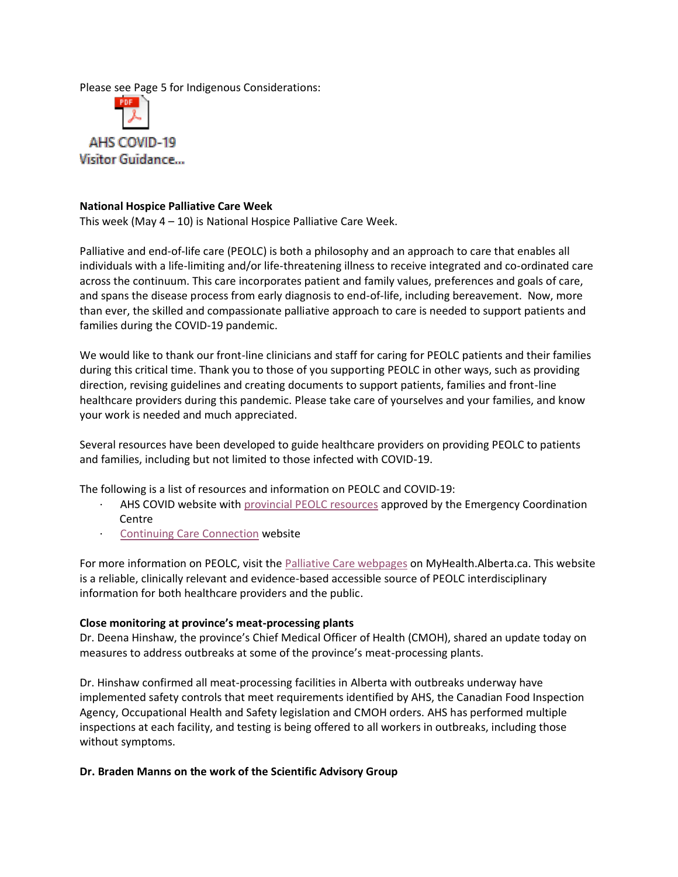Please see Page 5 for Indigenous Considerations:



#### **National Hospice Palliative Care Week**

This week (May  $4 - 10$ ) is National Hospice Palliative Care Week.

Palliative and end-of-life care (PEOLC) is both a philosophy and an approach to care that enables all individuals with a life-limiting and/or life-threatening illness to receive integrated and co-ordinated care across the continuum. This care incorporates patient and family values, preferences and goals of care, and spans the disease process from early diagnosis to end-of-life, including bereavement. Now, more than ever, the skilled and compassionate palliative approach to care is needed to support patients and families during the COVID-19 pandemic.

We would like to thank our front-line clinicians and staff for caring for PEOLC patients and their families during this critical time. Thank you to those of you supporting PEOLC in other ways, such as providing direction, revising guidelines and creating documents to support patients, families and front-line healthcare providers during this pandemic. Please take care of yourselves and your families, and know your work is needed and much appreciated.

Several resources have been developed to guide healthcare providers on providing PEOLC to patients and families, including but not limited to those infected with COVID-19.

The following is a list of resources and information on PEOLC and COVID-19:

- AHS COVID website with [provincial PEOLC resources](https://www.albertahealthservices.ca/topics/Page16947.aspx?team=palliative%20and%20end-of-life%20care#resources) approved by the Emergency Coordination Centre
- [Continuing Care Connection](http://connection.ahs.ca/) website

For more information on PEOLC, visit the [Palliative Care webpages](https://myhealth.alberta.ca/palliative-care) on MyHealth.Alberta.ca. This website is a reliable, clinically relevant and evidence-based accessible source of PEOLC interdisciplinary information for both healthcare providers and the public.

#### **Close monitoring at province's meat-processing plants**

Dr. Deena Hinshaw, the province's Chief Medical Officer of Health (CMOH), shared an update today on measures to address outbreaks at some of the province's meat-processing plants.

Dr. Hinshaw confirmed all meat-processing facilities in Alberta with outbreaks underway have implemented safety controls that meet requirements identified by AHS, the Canadian Food Inspection Agency, Occupational Health and Safety legislation and CMOH orders. AHS has performed multiple inspections at each facility, and testing is being offered to all workers in outbreaks, including those without symptoms.

#### **Dr. Braden Manns on the work of the Scientific Advisory Group**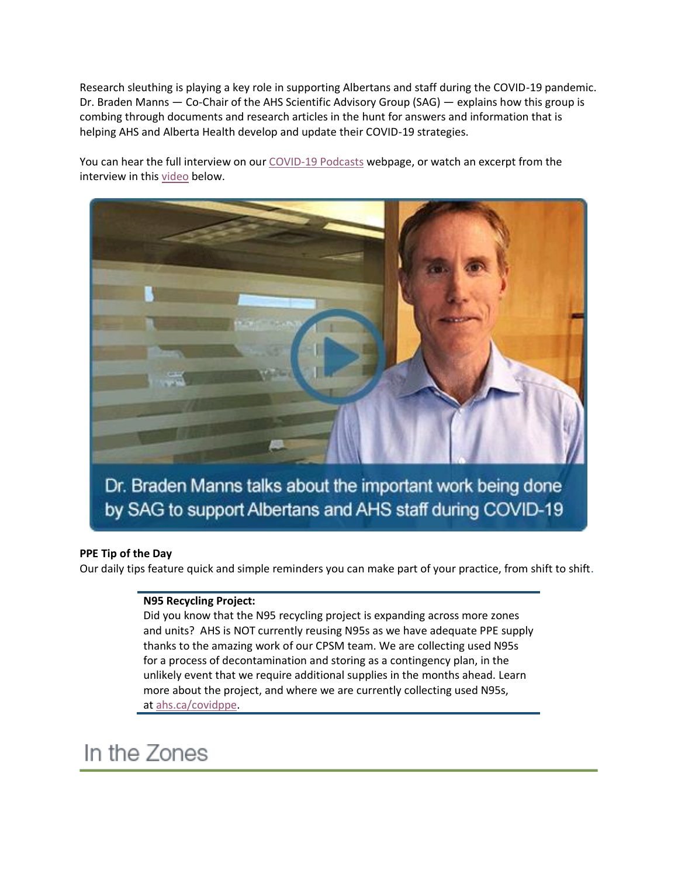Research sleuthing is playing a key role in supporting Albertans and staff during the COVID-19 pandemic. Dr. Braden Manns — Co-Chair of the AHS Scientific Advisory Group (SAG) — explains how this group is combing through documents and research articles in the hunt for answers and information that is helping AHS and Alberta Health develop and update their COVID-19 strategies.

You can hear the full interview on our [COVID-19 Podcasts](applewebdata://F1D8586A-41BE-4DE1-8580-9C26BF13338C/ahs.ca/covidpodcast) webpage, or watch an excerpt from the interview in this [video](https://www.albertahealthservices.ca/topics/page17120.aspx) below.



#### **PPE Tip of the Day**

Our daily tips feature quick and simple reminders you can make part of your practice, from shift to shift.

#### **N95 Recycling Project:**

Did you know that the N95 recycling project is expanding across more zones and units? AHS is NOT currently reusing N95s as we have adequate PPE supply thanks to the amazing work of our CPSM team. We are collecting used N95s for a process of decontamination and storing as a contingency plan, in the unlikely event that we require additional supplies in the months ahead. Learn more about the project, and where we are currently collecting used N95s, at [ahs.ca/covidppe.](applewebdata://F1D8586A-41BE-4DE1-8580-9C26BF13338C/ahs.ca/covidppe)

### In the Zones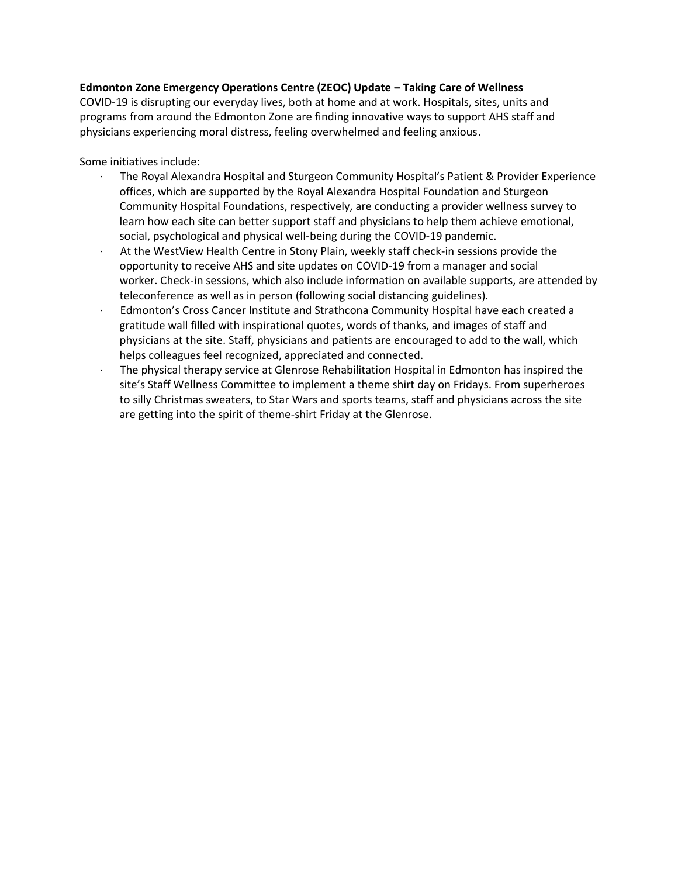#### **Edmonton Zone Emergency Operations Centre (ZEOC) Update – Taking Care of Wellness**

COVID-19 is disrupting our everyday lives, both at home and at work. Hospitals, sites, units and programs from around the Edmonton Zone are finding innovative ways to support AHS staff and physicians experiencing moral distress, feeling overwhelmed and feeling anxious.

Some initiatives include:

- · The Royal Alexandra Hospital and Sturgeon Community Hospital's Patient & Provider Experience offices, which are supported by the Royal Alexandra Hospital Foundation and Sturgeon Community Hospital Foundations, respectively, are conducting a provider wellness survey to learn how each site can better support staff and physicians to help them achieve emotional, social, psychological and physical well-being during the COVID-19 pandemic.
- At the WestView Health Centre in Stony Plain, weekly staff check-in sessions provide the opportunity to receive AHS and site updates on COVID-19 from a manager and social worker. Check-in sessions, which also include information on available supports, are attended by teleconference as well as in person (following social distancing guidelines).
- · Edmonton's Cross Cancer Institute and Strathcona Community Hospital have each created a gratitude wall filled with inspirational quotes, words of thanks, and images of staff and physicians at the site. Staff, physicians and patients are encouraged to add to the wall, which helps colleagues feel recognized, appreciated and connected.
- · The physical therapy service at Glenrose Rehabilitation Hospital in Edmonton has inspired the site's Staff Wellness Committee to implement a theme shirt day on Fridays. From superheroes to silly Christmas sweaters, to Star Wars and sports teams, staff and physicians across the site are getting into the spirit of theme-shirt Friday at the Glenrose.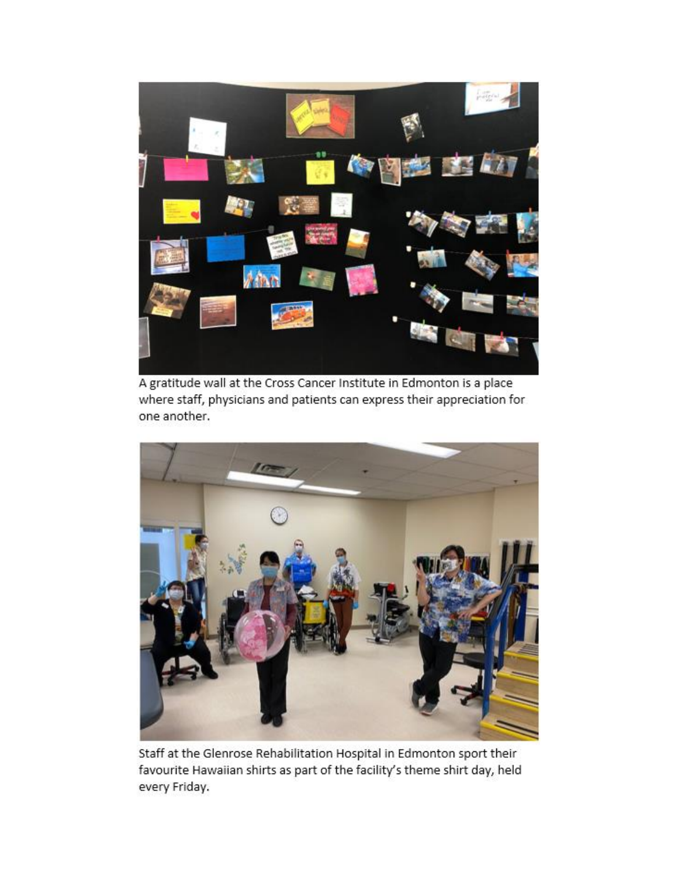

A gratitude wall at the Cross Cancer Institute in Edmonton is a place where staff, physicians and patients can express their appreciation for one another.



Staff at the Glenrose Rehabilitation Hospital in Edmonton sport their favourite Hawaiian shirts as part of the facility's theme shirt day, held every Friday.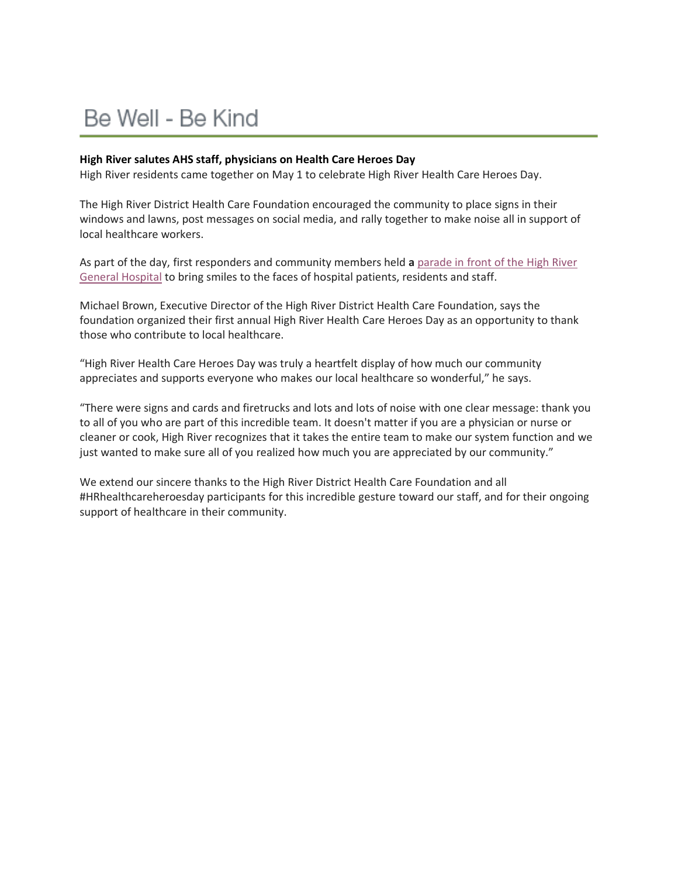## Be Well - Be Kind

#### **High River salutes AHS staff, physicians on Health Care Heroes Day**

High River residents came together on May 1 to celebrate High River Health Care Heroes Day.

The High River District Health Care Foundation encouraged the community to place signs in their windows and lawns, post messages on social media, and rally together to make noise all in support of local healthcare workers.

As part of the day, first responders and community members held **a** [parade in front of the High River](https://www.youtube.com/watch?v=_u1CZYqOjns&feature=youtu.be)  [General Hospital](https://www.youtube.com/watch?v=_u1CZYqOjns&feature=youtu.be) to bring smiles to the faces of hospital patients, residents and staff.

Michael Brown, Executive Director of the High River District Health Care Foundation, says the foundation organized their first annual High River Health Care Heroes Day as an opportunity to thank those who contribute to local healthcare.

"High River Health Care Heroes Day was truly a heartfelt display of how much our community appreciates and supports everyone who makes our local healthcare so wonderful," he says.

"There were signs and cards and firetrucks and lots and lots of noise with one clear message: thank you to all of you who are part of this incredible team. It doesn't matter if you are a physician or nurse or cleaner or cook, High River recognizes that it takes the entire team to make our system function and we just wanted to make sure all of you realized how much you are appreciated by our community."

We extend our sincere thanks to the High River District Health Care Foundation and all #HRhealthcareheroesday participants for this incredible gesture toward our staff, and for their ongoing support of healthcare in their community.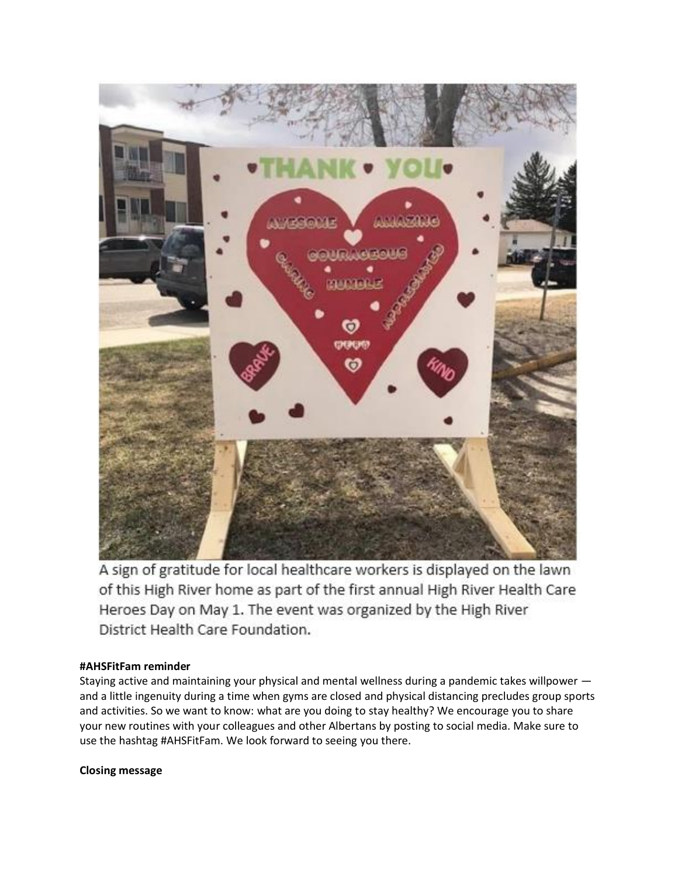

A sign of gratitude for local healthcare workers is displayed on the lawn of this High River home as part of the first annual High River Health Care Heroes Day on May 1. The event was organized by the High River District Health Care Foundation.

#### **#AHSFitFam reminder**

Staying active and maintaining your physical and mental wellness during a pandemic takes willpower and a little ingenuity during a time when gyms are closed and physical distancing precludes group sports and activities. So we want to know: what are you doing to stay healthy? We encourage you to share your new routines with your colleagues and other Albertans by posting to social media. Make sure to use the hashtag #AHSFitFam. We look forward to seeing you there.

#### **Closing message**